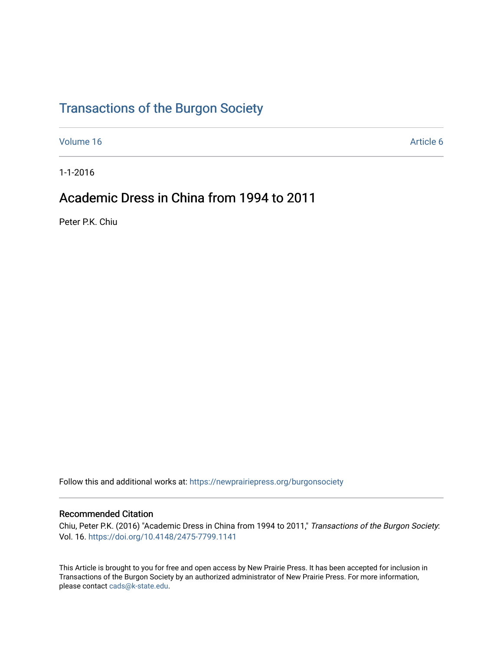## [Transactions of the Burgon Society](https://newprairiepress.org/burgonsociety)

[Volume 16](https://newprairiepress.org/burgonsociety/vol16) Article 6

1-1-2016

## Academic Dress in China from 1994 to 2011

Peter P.K. Chiu

Follow this and additional works at: [https://newprairiepress.org/burgonsociety](https://newprairiepress.org/burgonsociety?utm_source=newprairiepress.org%2Fburgonsociety%2Fvol16%2Fiss1%2F6&utm_medium=PDF&utm_campaign=PDFCoverPages)

### Recommended Citation

Chiu, Peter P.K. (2016) "Academic Dress in China from 1994 to 2011," Transactions of the Burgon Society: Vol. 16. [https://doi.org/10.4148/2475-7799.1141](https://dx.doi.org/10.4148/2475-7799.1141)

This Article is brought to you for free and open access by New Prairie Press. It has been accepted for inclusion in Transactions of the Burgon Society by an authorized administrator of New Prairie Press. For more information, please contact [cads@k-state.edu.](mailto:cads@k-state.edu)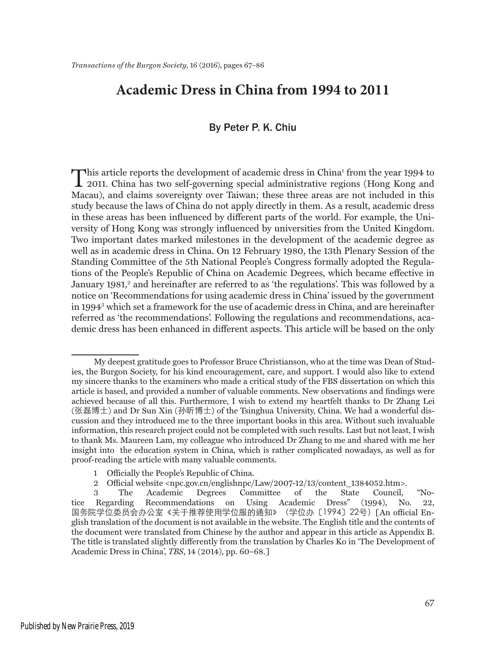## **Academic Dress in China from 1994 to 2011**

### By Peter P. K. Chiu

This article reports the development of academic dress in China<sup>1</sup> from the year 1994 to<br>2011. China has two self-governing special administrative regions (Hong Kong and<br>Measu) and elsing spurmitus sum Triuma these three a This article reports the development of academic dress in China<sup>1</sup> from the year 1994 to Macau), and claims sovereignty over Taiwan; these three areas are not included in this study because the laws of China do not apply directly in them. As a result, academic dress in these areas has been influenced by different parts of the world. For example, the University of Hong Kong was strongly influenced by universities from the United Kingdom. Two important dates marked milestones in the development of the academic degree as well as in academic dress in China. On 12 February 1980, the 13th Plenary Session of the Standing Committee of the 5th National People's Congress formally adopted the Regulations of the People's Republic of China on Academic Degrees, which became effective in January 1981,<sup>2</sup> and hereinafter are referred to as 'the regulations'. This was followed by a notice on 'Recommendations for using academic dress in China' issued by the government in 19943 which set a framework for the use of academic dress in China, and are hereinafter referred as 'the recommendations'. Following the regulations and recommendations, academic dress has been enhanced in different aspects. This article will be based on the only

My deepest gratitude goes to Professor Bruce Christianson, who at the time was Dean of Studies, the Burgon Society, for his kind encouragement, care, and support. I would also like to extend my sincere thanks to the examiners who made a critical study of the FBS dissertation on which this article is based, and provided a number of valuable comments. New observations and findings were achieved because of all this. Furthermore, I wish to extend my heartfelt thanks to Dr Zhang Lei (张磊博士) and Dr Sun Xin (孙昕博士) of the Tsinghua University, China. We had a wonderful discussion and they introduced me to the three important books in this area. Without such invaluable information, this research project could not be completed with such results. Last but not least, I wish to thank Ms. Maureen Lam, my colleague who introduced Dr Zhang to me and shared with me her insight into the education system in China, which is rather complicated nowadays, as well as for proof-reading the article with many valuable comments.

<sup>1</sup> Officially the People's Republic of China.

<sup>2</sup> Official website <npc.gov.cn/englishnpc/Law/2007-12/13/content\_1384052.htm>.

<sup>3</sup> The Academic Degrees Committee of the State Council, "Notice Regarding Recommendations on Using Academic Dress" (1994), No. 22, 国务院学位委员会办公室《关于推荐使用学位服的通知》(学位办〔1994〕22号)[An official English translation of the document is not available in the website. The English title and the contents of the document were translated from Chinese by the author and appear in this article as Appendix B. The title is translated slightly differently from the translation by Charles Ko in 'The Development of Academic Dress in China', *TBS*, 14 (2014), pp. 60–68.]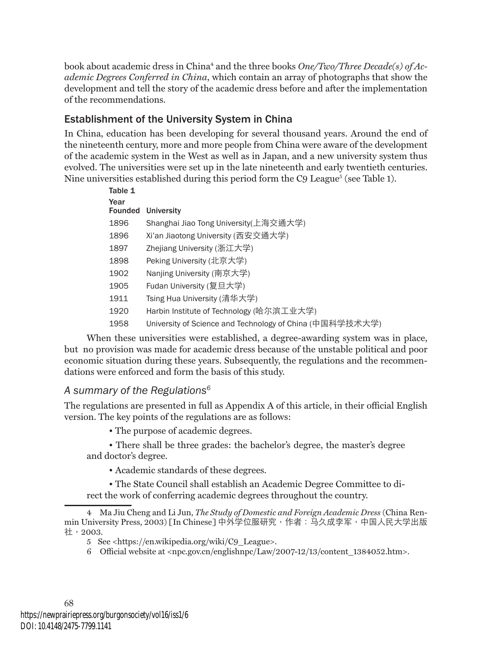book about academic dress in China<sup>4</sup> and the three books *One/Two/Three Decade(s) of Academic Degrees Conferred in China*, which contain an array of photographs that show the development and tell the story of the academic dress before and after the implementation of the recommendations.

## Establishment of the University System in China

In China, education has been developing for several thousand years. Around the end of the nineteenth century, more and more people from China were aware of the development of the academic system in the West as well as in Japan, and a new university system thus evolved. The universities were set up in the late nineteenth and early twentieth centuries. Nine universities established during this period form the C9 League<sup>5</sup> (see Table 1).

| Table 1                |                                                          |
|------------------------|----------------------------------------------------------|
| Year<br><b>Founded</b> | <b>University</b>                                        |
| 1896                   | Shanghai Jiao Tong University(上海交通大学)                    |
| 1896                   | Xi'an Jiaotong University (西安交通大学)                       |
| 1897                   | Zhejiang University (浙江大学)                               |
| 1898                   | Peking University (北京大学)                                 |
| 1902                   | Nanjing University (南京大学)                                |
| 1905                   | Fudan University (复旦大学)                                  |
| 1911                   | Tsing Hua University (清华大学)                              |
| 1920                   | Harbin Institute of Technology (哈尔滨工业大学)                 |
| 1958                   | University of Science and Technology of China (中国科学技术大学) |

When these universities were established, a degree-awarding system was in place, but no provision was made for academic dress because of the unstable political and poor economic situation during these years. Subsequently, the regulations and the recommendations were enforced and form the basis of this study.

## *A summary of the Regulations6*

The regulations are presented in full as Appendix A of this article, in their official English version. The key points of the regulations are as follows:

• The purpose of academic degrees.

• There shall be three grades: the bachelor's degree, the master's degree and doctor's degree.

• Academic standards of these degrees.

• The State Council shall establish an Academic Degree Committee to direct the work of conferring academic degrees throughout the country.

<sup>4</sup> Ma Jiu Cheng and Li Jun, *The Study of Domestic and Foreign Academic Dress* (China Renmin University Press, 2003) [In Chinese] 中外学位服研究, 作者: 马久成李军, 中国人民大学出版 社,2003.

<sup>5</sup> See <https://en.wikipedia.org/wiki/C9\_League>.

<sup>6</sup> Official website at <npc.gov.cn/englishnpc/Law/2007-12/13/content\_1384052.htm>.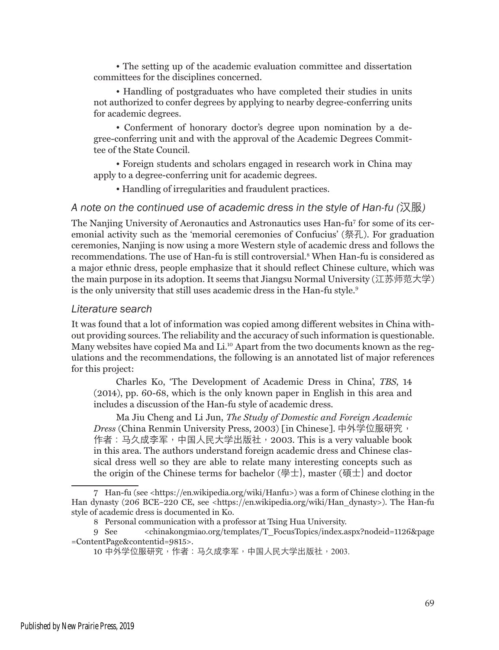• The setting up of the academic evaluation committee and dissertation committees for the disciplines concerned.

• Handling of postgraduates who have completed their studies in units not authorized to confer degrees by applying to nearby degree-conferring units for academic degrees.

• Conferment of honorary doctor's degree upon nomination by a degree-conferring unit and with the approval of the Academic Degrees Committee of the State Council.

• Foreign students and scholars engaged in research work in China may apply to a degree-conferring unit for academic degrees.

• Handling of irregularities and fraudulent practices.

### *A note on the continued use of academic dress in the style of Han-fu (*汉服*)*

The Nanjing University of Aeronautics and Astronautics uses Han-fu7 for some of its ceremonial activity such as the 'memorial ceremonies of Confucius' (祭孔). For graduation ceremonies, Nanjing is now using a more Western style of academic dress and follows the recommendations. The use of Han-fu is still controversial.<sup>8</sup> When Han-fu is considered as a major ethnic dress, people emphasize that it should reflect Chinese culture, which was the main purpose in its adoption. It seems that Jiangsu Normal University (江苏师范大学) is the only university that still uses academic dress in the Han-fu style.<sup>9</sup>

#### *Literature search*

It was found that a lot of information was copied among different websites in China without providing sources. The reliability and the accuracy of such information is questionable. Many websites have copied Ma and Li.<sup>10</sup> Apart from the two documents known as the regulations and the recommendations, the following is an annotated list of major references for this project:

Charles Ko, 'The Development of Academic Dress in China', *TBS*, 14 (2014), pp. 60-68, which is the only known paper in English in this area and includes a discussion of the Han-fu style of academic dress.

Ma Jiu Cheng and Li Jun, *The Study of Domestic and Foreign Academic Dress* (China Renmin University Press, 2003) [in Chinese]. 中外学位服研究, 作者:马久成李军,中国人民大学出版社,2003. This is a very valuable book in this area. The authors understand foreign academic dress and Chinese classical dress well so they are able to relate many interesting concepts such as the origin of the Chinese terms for bachelor (學士), master (碩士) and doctor

<sup>7</sup> Han-fu (see <https://en.wikipedia.org/wiki/Hanfu>) was a form of Chinese clothing in the Han dynasty (206 BCE–220 CE, see <https://en.wikipedia.org/wiki/Han\_dynasty>). The Han-fu style of academic dress is documented in Ko.

<sup>8</sup> Personal communication with a professor at Tsing Hua University.

<sup>9</sup> See <chinakongmiao.org/templates/T\_FocusTopics/index.aspx?nodeid=1126&page =ContentPage&contentid=9815>.

<sup>10</sup> 中外学位服研究,作者:马久成李军,中国人民大学出版社,2003.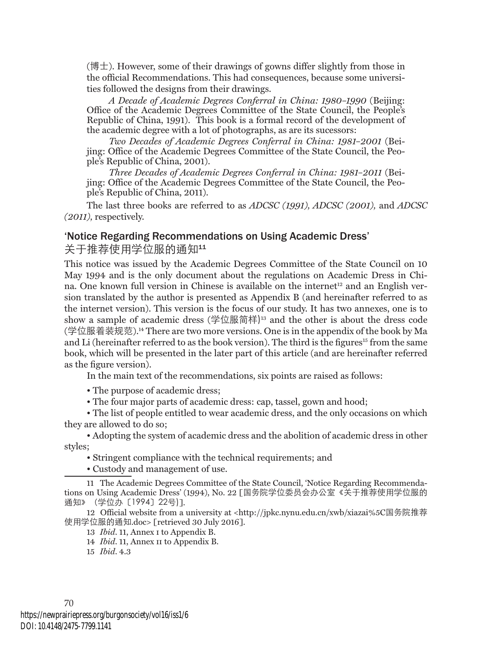(博士). However, some of their drawings of gowns differ slightly from those in the official Recommendations. This had consequences, because some universities followed the designs from their drawings.

*A Decade of Academic Degrees Conferral in China: 1980–1990* (Beijing: Office of the Academic Degrees Committee of the State Council, the People's Republic of China, 1991). This book is a formal record of the development of the academic degree with a lot of photographs, as are its sucessors:

*Two Decades of Academic Degrees Conferral in China: 1981–2001* (Beijing: Office of the Academic Degrees Committee of the State Council, the People's Republic of China, 2001).

*Three Decades of Academic Degrees Conferral in China: 1981–2011* (Beijing: Office of the Academic Degrees Committee of the State Council, the People's Republic of China, 2011).

The last three books are referred to as *ADCSC (1991), ADCSC (2001),* and *ADCSC (2011),* respectively.

#### 'Notice Regarding Recommendations on Using Academic Dress'

关于推荐使用学位服的通知11

This notice was issued by the Academic Degrees Committee of the State Council on 10 May 1994 and is the only document about the regulations on Academic Dress in China. One known full version in Chinese is available on the internet<sup>12</sup> and an English version translated by the author is presented as Appendix B (and hereinafter referred to as the internet version). This version is the focus of our study. It has two annexes, one is to show a sample of academic dress (学位服简样)13 and the other is about the dress code (学位服着装规范).14 There are two more versions. One is in the appendix of the book by Ma and Li (hereinafter referred to as the book version). The third is the figures<sup>15</sup> from the same book, which will be presented in the later part of this article (and are hereinafter referred as the figure version).

In the main text of the recommendations, six points are raised as follows:

• The purpose of academic dress;

• The four major parts of academic dress: cap, tassel, gown and hood;

• The list of people entitled to wear academic dress, and the only occasions on which they are allowed to do so;

• Adopting the system of academic dress and the abolition of academic dress in other styles;

• Stringent compliance with the technical requirements; and

• Custody and management of use.

11 The Academic Degrees Committee of the State Council, 'Notice Regarding Recommendations on Using Academic Dress' (1994), No. 22 [国务院学位委员会办公室《关于推荐使用学位服的 通知》(学位办〔1994〕22号)].

12 Official website from a university at <http://jpkc.nynu.edu.cn/xwb/xiazai%5C国务院推荐 使用学位服的通知.doc> [retrieved 30 July 2016].

13 *Ibid*. 11, Annex i to Appendix B.

14 *Ibid*. 11, Annex ii to Appendix B.

15 *Ibid*. 4.3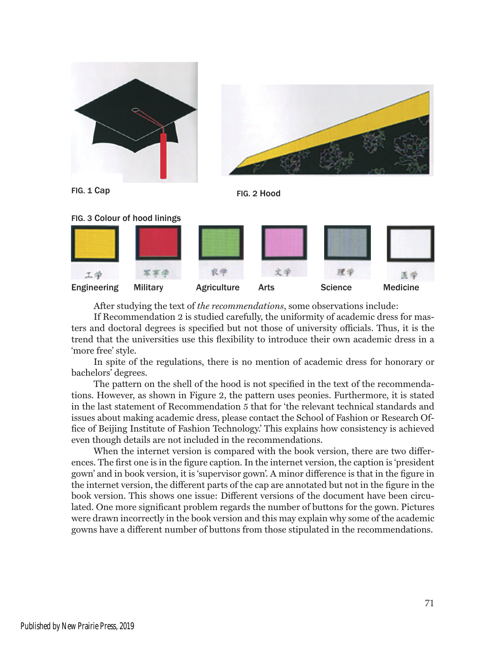







After studying the text of *the recommendations*, some observations include:

If Recommendation 2 is studied carefully, the uniformity of academic dress for masters and doctoral degrees is specified but not those of university officials. Thus, it is the trend that the universities use this flexibility to introduce their own academic dress in a 'more free' style.

In spite of the regulations, there is no mention of academic dress for honorary or bachelors' degrees.

The pattern on the shell of the hood is not specified in the text of the recommendations. However, as shown in Figure 2, the pattern uses peonies. Furthermore, it is stated in the last statement of Recommendation 5 that for 'the relevant technical standards and issues about making academic dress, please contact the School of Fashion or Research Office of Beijing Institute of Fashion Technology.' This explains how consistency is achieved even though details are not included in the recommendations.

When the internet version is compared with the book version, there are two differences. The first one is in the figure caption. In the internet version, the caption is 'president gown' and in book version, it is 'supervisor gown'. A minor difference is that in the figure in the internet version, the different parts of the cap are annotated but not in the figure in the book version. This shows one issue: Different versions of the document have been circulated. One more significant problem regards the number of buttons for the gown. Pictures were drawn incorrectly in the book version and this may explain why some of the academic gowns have a different number of buttons from those stipulated in the recommendations.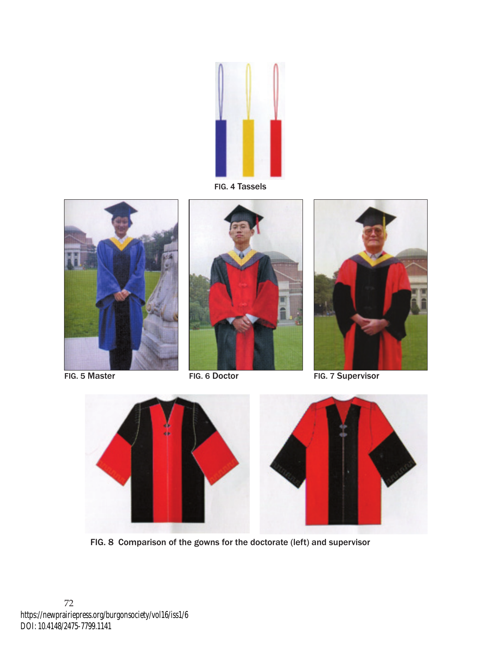

FIG. 4 Tassels







FIG. 5 Master FIG. 6 Doctor FIG. 7 Supervisor



FIG. 8 Comparison of the gowns for the doctorate (left) and supervisor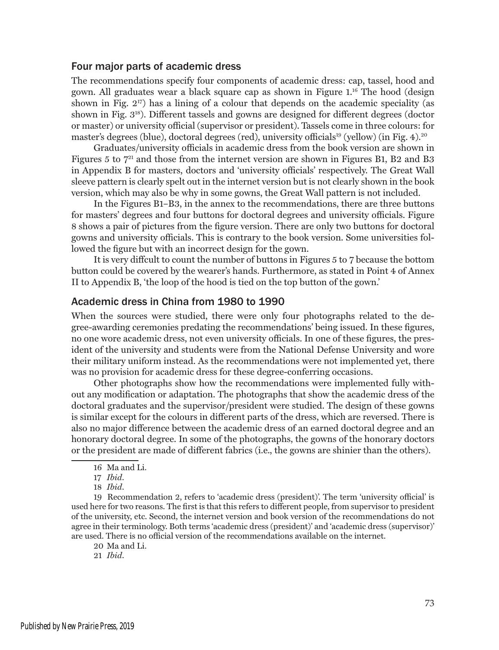### Four major parts of academic dress

The recommendations specify four components of academic dress: cap, tassel, hood and gown. All graduates wear a black square cap as shown in Figure 1.16 The hood (design shown in Fig.  $2^{17}$ ) has a lining of a colour that depends on the academic speciality (as shown in Fig. 318). Different tassels and gowns are designed for different degrees (doctor or master) or university official (supervisor or president). Tassels come in three colours: for master's degrees (blue), doctoral degrees (red), university officials<sup>19</sup> (yellow) (in Fig. 4).<sup>20</sup>

Graduates/university officials in academic dress from the book version are shown in Figures 5 to  $7<sup>21</sup>$  and those from the internet version are shown in Figures B1, B2 and B3 in Appendix B for masters, doctors and 'university officials' respectively. The Great Wall sleeve pattern is clearly spelt out in the internet version but is not clearly shown in the book version, which may also be why in some gowns, the Great Wall pattern is not included.

In the Figures B1–B3, in the annex to the recommendations, there are three buttons for masters' degrees and four buttons for doctoral degrees and university officials. Figure 8 shows a pair of pictures from the figure version. There are only two buttons for doctoral gowns and university officials. This is contrary to the book version. Some universities followed the figure but with an incorrect design for the gown.

It is very diffcult to count the number of buttons in Figures 5 to 7 because the bottom button could be covered by the wearer's hands. Furthermore, as stated in Point 4 of Annex II to Appendix B, 'the loop of the hood is tied on the top button of the gown.'

### Academic dress in China from 1980 to 1990

When the sources were studied, there were only four photographs related to the degree-awarding ceremonies predating the recommendations' being issued. In these figures, no one wore academic dress, not even university officials. In one of these figures, the president of the university and students were from the National Defense University and wore their military uniform instead. As the recommendations were not implemented yet, there was no provision for academic dress for these degree-conferring occasions.

Other photographs show how the recommendations were implemented fully without any modification or adaptation. The photographs that show the academic dress of the doctoral graduates and the supervisor/president were studied. The design of these gowns is similar except for the colours in different parts of the dress, which are reversed. There is also no major difference between the academic dress of an earned doctoral degree and an honorary doctoral degree. In some of the photographs, the gowns of the honorary doctors or the president are made of different fabrics (i.e., the gowns are shinier than the others).

19 Recommendation 2, refers to 'academic dress (president)'. The term 'university official' is used here for two reasons. The first is that this refers to different people, from supervisor to president of the university, etc. Second, the internet version and book version of the recommendations do not agree in their terminology. Both terms 'academic dress (president)' and 'academic dress (supervisor)' are used. There is no official version of the recommendations available on the internet.

20 Ma and Li.

21 *Ibid*.

<sup>16</sup> Ma and Li.

<sup>17</sup> *Ibid*.

<sup>18</sup> *Ibid*.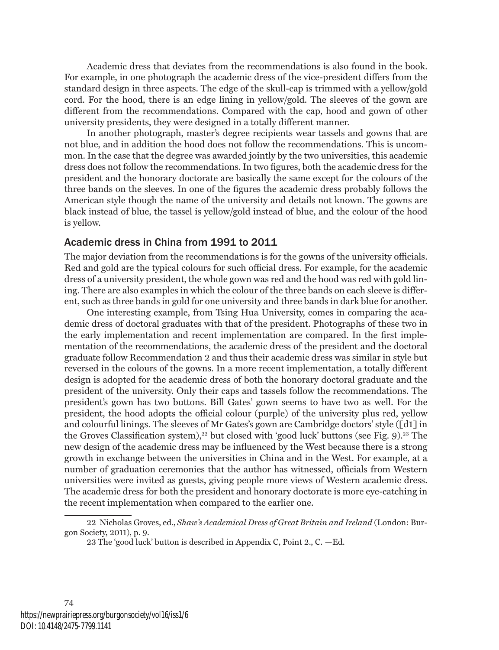Academic dress that deviates from the recommendations is also found in the book. For example, in one photograph the academic dress of the vice-president differs from the standard design in three aspects. The edge of the skull-cap is trimmed with a yellow/gold cord. For the hood, there is an edge lining in yellow/gold. The sleeves of the gown are different from the recommendations. Compared with the cap, hood and gown of other university presidents, they were designed in a totally different manner.

In another photograph, master's degree recipients wear tassels and gowns that are not blue, and in addition the hood does not follow the recommendations. This is uncommon. In the case that the degree was awarded jointly by the two universities, this academic dress does not follow the recommendations. In two figures, both the academic dress for the president and the honorary doctorate are basically the same except for the colours of the three bands on the sleeves. In one of the figures the academic dress probably follows the American style though the name of the university and details not known. The gowns are black instead of blue, the tassel is yellow/gold instead of blue, and the colour of the hood is yellow.

#### Academic dress in China from 1991 to 2011

The major deviation from the recommendations is for the gowns of the university officials. Red and gold are the typical colours for such official dress. For example, for the academic dress of a university president, the whole gown was red and the hood was red with gold lining. There are also examples in which the colour of the three bands on each sleeve is different, such as three bands in gold for one university and three bands in dark blue for another.

One interesting example, from Tsing Hua University, comes in comparing the academic dress of doctoral graduates with that of the president. Photographs of these two in the early implementation and recent implementation are compared. In the first implementation of the recommendations, the academic dress of the president and the doctoral graduate follow Recommendation 2 and thus their academic dress was similar in style but reversed in the colours of the gowns. In a more recent implementation, a totally different design is adopted for the academic dress of both the honorary doctoral graduate and the president of the university. Only their caps and tassels follow the recommendations. The president's gown has two buttons. Bill Gates' gown seems to have two as well. For the president, the hood adopts the official colour (purple) of the university plus red, yellow and colourful linings. The sleeves of Mr Gates's gown are Cambridge doctors' style ([d1] in the Groves Classification system),<sup>22</sup> but closed with 'good luck' buttons (see Fig. 9).<sup>23</sup> The new design of the academic dress may be influenced by the West because there is a strong growth in exchange between the universities in China and in the West. For example, at a number of graduation ceremonies that the author has witnessed, officials from Western universities were invited as guests, giving people more views of Western academic dress. The academic dress for both the president and honorary doctorate is more eye-catching in the recent implementation when compared to the earlier one.

<sup>22</sup> Nicholas Groves, ed., *Shaw's Academical Dress of Great Britain and Ireland* (London: Burgon Society, 2011), p. 9.

<sup>23</sup> The 'good luck' button is described in Appendix C, Point 2., C. —Ed.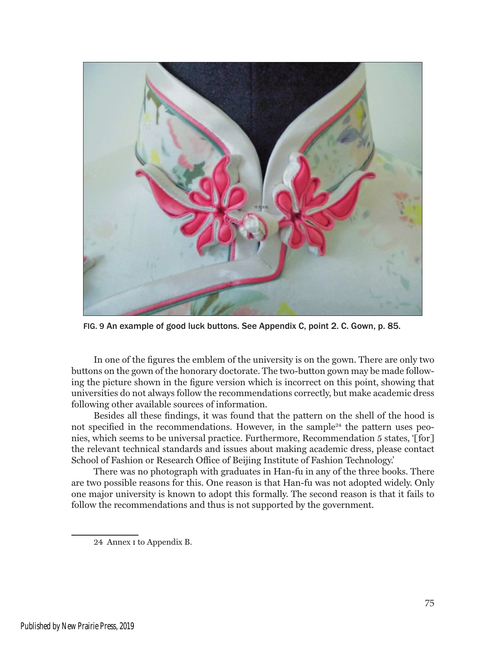

FIG. 9 An example of good luck buttons. See Appendix C, point 2. C. Gown, p. 85.

In one of the figures the emblem of the university is on the gown. There are only two buttons on the gown of the honorary doctorate. The two-button gown may be made following the picture shown in the figure version which is incorrect on this point, showing that universities do not always follow the recommendations correctly, but make academic dress following other available sources of information.

Besides all these findings, it was found that the pattern on the shell of the hood is not specified in the recommendations. However, in the sample<sup>24</sup> the pattern uses peonies, which seems to be universal practice. Furthermore, Recommendation 5 states, '[for] the relevant technical standards and issues about making academic dress, please contact School of Fashion or Research Office of Beijing Institute of Fashion Technology.'

There was no photograph with graduates in Han-fu in any of the three books. There are two possible reasons for this. One reason is that Han-fu was not adopted widely. Only one major university is known to adopt this formally. The second reason is that it fails to follow the recommendations and thus is not supported by the government.

24 Annex i to Appendix B.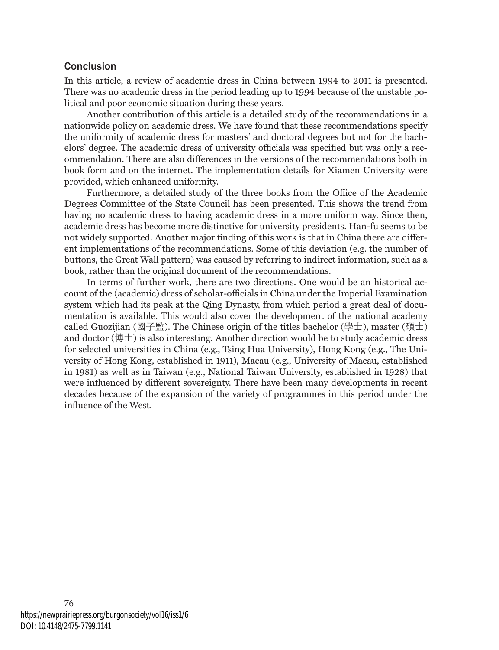### Conclusion

In this article, a review of academic dress in China between 1994 to 2011 is presented. There was no academic dress in the period leading up to 1994 because of the unstable political and poor economic situation during these years.

Another contribution of this article is a detailed study of the recommendations in a nationwide policy on academic dress. We have found that these recommendations specify the uniformity of academic dress for masters' and doctoral degrees but not for the bachelors' degree. The academic dress of university officials was specified but was only a recommendation. There are also differences in the versions of the recommendations both in book form and on the internet. The implementation details for Xiamen University were provided, which enhanced uniformity.

Furthermore, a detailed study of the three books from the Office of the Academic Degrees Committee of the State Council has been presented. This shows the trend from having no academic dress to having academic dress in a more uniform way. Since then, academic dress has become more distinctive for university presidents. Han-fu seems to be not widely supported. Another major finding of this work is that in China there are different implementations of the recommendations. Some of this deviation (e.g*.* the number of buttons, the Great Wall pattern) was caused by referring to indirect information, such as a book, rather than the original document of the recommendations.

In terms of further work, there are two directions. One would be an historical account of the (academic) dress of scholar-officials in China under the Imperial Examination system which had its peak at the Qing Dynasty, from which period a great deal of documentation is available. This would also cover the development of the national academy called Guozijian (國子監). The Chinese origin of the titles bachelor (學士), master (碩士) and doctor (博士) is also interesting. Another direction would be to study academic dress for selected universities in China (e.g., Tsing Hua University), Hong Kong (e.g., The University of Hong Kong, established in 1911), Macau (e.g., University of Macau, established in 1981) as well as in Taiwan (e.g*.*, National Taiwan University, established in 1928) that were influenced by different sovereignty. There have been many developments in recent decades because of the expansion of the variety of programmes in this period under the influence of the West.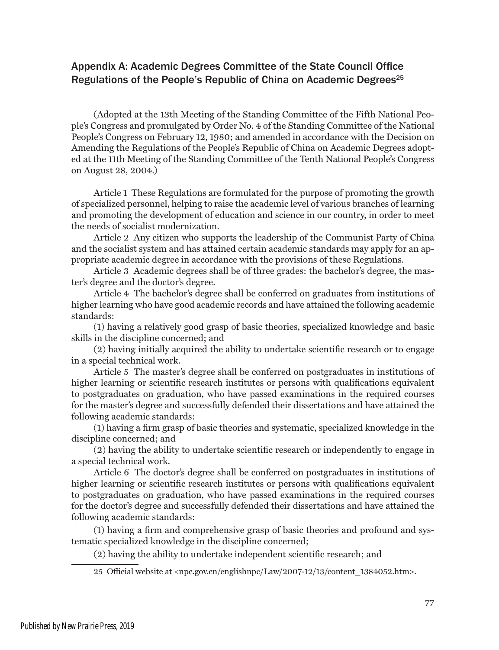## Appendix A: Academic Degrees Committee of the State Council Office Regulations of the People's Republic of China on Academic Degrees $^{25}$

(Adopted at the 13th Meeting of the Standing Committee of the Fifth National People's Congress and promulgated by Order No. 4 of the Standing Committee of the National People's Congress on February 12, 1980; and amended in accordance with the Decision on Amending the Regulations of the People's Republic of China on Academic Degrees adopted at the 11th Meeting of the Standing Committee of the Tenth National People's Congress on August 28, 2004.)

Article 1 These Regulations are formulated for the purpose of promoting the growth of specialized personnel, helping to raise the academic level of various branches of learning and promoting the development of education and science in our country, in order to meet the needs of socialist modernization.

Article 2 Any citizen who supports the leadership of the Communist Party of China and the socialist system and has attained certain academic standards may apply for an appropriate academic degree in accordance with the provisions of these Regulations.

Article 3 Academic degrees shall be of three grades: the bachelor's degree, the master's degree and the doctor's degree.

Article 4 The bachelor's degree shall be conferred on graduates from institutions of higher learning who have good academic records and have attained the following academic standards:

(1) having a relatively good grasp of basic theories, specialized knowledge and basic skills in the discipline concerned; and

(2) having initially acquired the ability to undertake scientific research or to engage in a special technical work.

Article 5 The master's degree shall be conferred on postgraduates in institutions of higher learning or scientific research institutes or persons with qualifications equivalent to postgraduates on graduation, who have passed examinations in the required courses for the master's degree and successfully defended their dissertations and have attained the following academic standards:

(1) having a firm grasp of basic theories and systematic, specialized knowledge in the discipline concerned; and

(2) having the ability to undertake scientific research or independently to engage in a special technical work.

Article 6 The doctor's degree shall be conferred on postgraduates in institutions of higher learning or scientific research institutes or persons with qualifications equivalent to postgraduates on graduation, who have passed examinations in the required courses for the doctor's degree and successfully defended their dissertations and have attained the following academic standards:

(1) having a firm and comprehensive grasp of basic theories and profound and systematic specialized knowledge in the discipline concerned;

(2) having the ability to undertake independent scientific research; and

25 Official website at <npc.gov.cn/englishnpc/Law/2007-12/13/content\_1384052.htm>.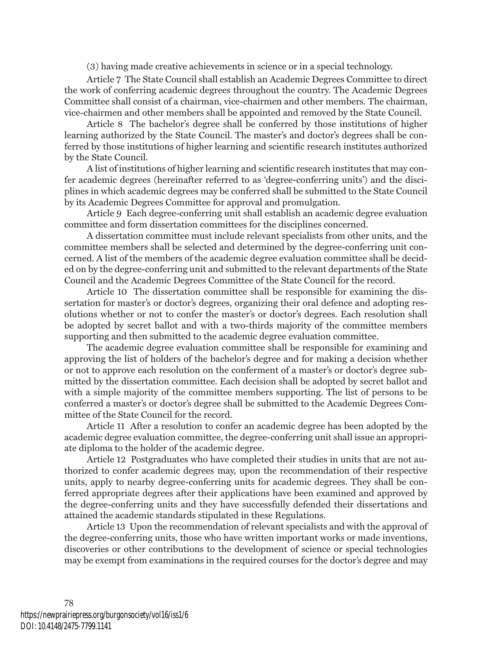(3) having made creative achievements in science or in a special technology.

Article 7 The State Council shall establish an Academic Degrees Committee to direct the work of conferring academic degrees throughout the country. The Academic Degrees Committee shall consist of a chairman, vice-chairmen and other members. The chairman, vice-chairmen and other members shall be appointed and removed by the State Council.

Article 8 The bachelor's degree shall be conferred by those institutions of higher learning authorized by the State Council. The master's and doctor's degrees shall be conferred by those institutions of higher learning and scientific research institutes authorized by the State Council.

A list of institutions of higher learning and scientific research institutes that may confer academic degrees (hereinafter referred to as 'degree-conferring units') and the disciplines in which academic degrees may be conferred shall be submitted to the State Council by its Academic Degrees Committee for approval and promulgation.

Article 9 Each degree-conferring unit shall establish an academic degree evaluation committee and form dissertation committees for the disciplines concerned.

A dissertation committee must include relevant specialists from other units, and the committee members shall be selected and determined by the degree-conferring unit concerned. A list of the members of the academic degree evaluation committee shall be decided on by the degree-conferring unit and submitted to the relevant departments of the State Council and the Academic Degrees Committee of the State Council for the record.

Article 10 The dissertation committee shall be responsible for examining the dissertation for master's or doctor's degrees, organizing their oral defence and adopting resolutions whether or not to confer the master's or doctor's degrees. Each resolution shall be adopted by secret ballot and with a two-thirds majority of the committee members supporting and then submitted to the academic degree evaluation committee.

The academic degree evaluation committee shall be responsible for examining and approving the list of holders of the bachelor's degree and for making a decision whether or not to approve each resolution on the conferment of a master's or doctor's degree submitted by the dissertation committee. Each decision shall be adopted by secret ballot and with a simple majority of the committee members supporting. The list of persons to be conferred a master's or doctor's degree shall be submitted to the Academic Degrees Committee of the State Council for the record.

Article 11 After a resolution to confer an academic degree has been adopted by the academic degree evaluation committee, the degree-conferring unit shall issue an appropriate diploma to the holder of the academic degree.

Article 12 Postgraduates who have completed their studies in units that are not authorized to confer academic degrees may, upon the recommendation of their respective units, apply to nearby degree-conferring units for academic degrees. They shall be conferred appropriate degrees after their applications have been examined and approved by the degree-conferring units and they have successfully defended their dissertations and attained the academic standards stipulated in these Regulations.

Article 13 Upon the recommendation of relevant specialists and with the approval of the degree-conferring units, those who have written important works or made inventions, discoveries or other contributions to the development of science or special technologies may be exempt from examinations in the required courses for the doctor's degree and may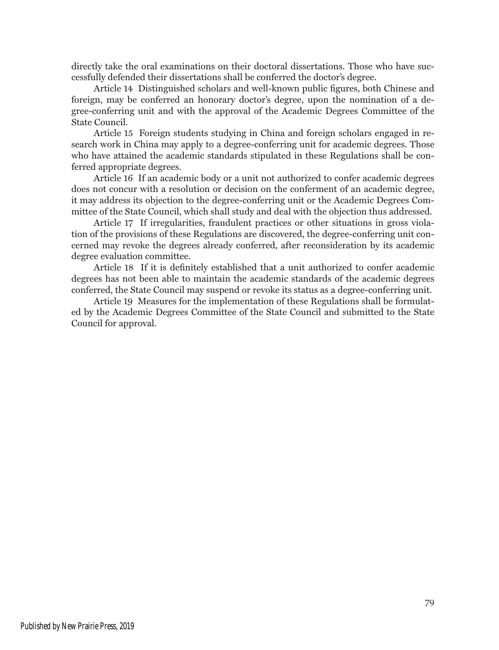directly take the oral examinations on their doctoral dissertations. Those who have successfully defended their dissertations shall be conferred the doctor's degree.

Article 14 Distinguished scholars and well-known public figures, both Chinese and foreign, may be conferred an honorary doctor's degree, upon the nomination of a degree-conferring unit and with the approval of the Academic Degrees Committee of the State Council.

Article 15 Foreign students studying in China and foreign scholars engaged in research work in China may apply to a degree-conferring unit for academic degrees. Those who have attained the academic standards stipulated in these Regulations shall be conferred appropriate degrees.

Article 16 If an academic body or a unit not authorized to confer academic degrees does not concur with a resolution or decision on the conferment of an academic degree, it may address its objection to the degree-conferring unit or the Academic Degrees Committee of the State Council, which shall study and deal with the objection thus addressed.

Article 17 If irregularities, fraudulent practices or other situations in gross violation of the provisions of these Regulations are discovered, the degree-conferring unit concerned may revoke the degrees already conferred, after reconsideration by its academic degree evaluation committee.

Article 18 If it is definitely established that a unit authorized to confer academic degrees has not been able to maintain the academic standards of the academic degrees conferred, the State Council may suspend or revoke its status as a degree-conferring unit.

Article 19 Measures for the implementation of these Regulations shall be formulated by the Academic Degrees Committee of the State Council and submitted to the State Council for approval.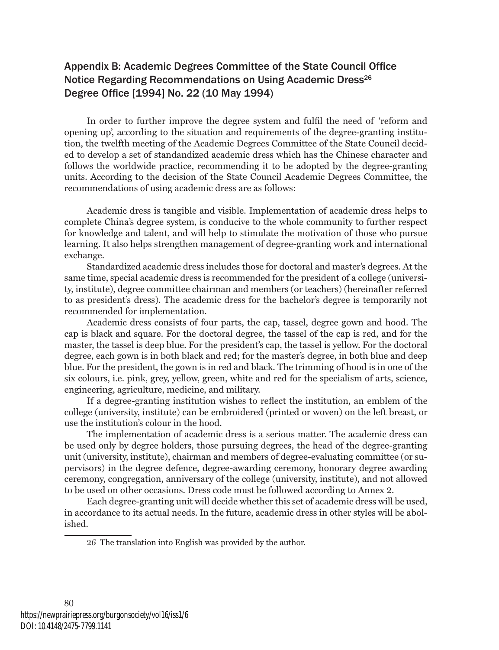## Appendix B: Academic Degrees Committee of the State Council Office Notice Regarding Recommendations on Using Academic Dress<sup>26</sup> Degree Office [1994] No. 22 (10 May 1994)

In order to further improve the degree system and fulfil the need of 'reform and opening up', according to the situation and requirements of the degree-granting institution, the twelfth meeting of the Academic Degrees Committee of the State Council decided to develop a set of standandized academic dress which has the Chinese character and follows the worldwide practice, recommending it to be adopted by the degree-granting units. According to the decision of the State Council Academic Degrees Committee, the recommendations of using academic dress are as follows:

Academic dress is tangible and visible. Implementation of academic dress helps to complete China's degree system, is conducive to the whole community to further respect for knowledge and talent, and will help to stimulate the motivation of those who pursue learning. It also helps strengthen management of degree-granting work and international exchange.

Standardized academic dress includes those for doctoral and master's degrees. At the same time, special academic dress is recommended for the president of a college (university, institute), degree committee chairman and members (or teachers) (hereinafter referred to as president's dress). The academic dress for the bachelor's degree is temporarily not recommended for implementation.

Academic dress consists of four parts, the cap, tassel, degree gown and hood. The cap is black and square. For the doctoral degree, the tassel of the cap is red, and for the master, the tassel is deep blue. For the president's cap, the tassel is yellow. For the doctoral degree, each gown is in both black and red; for the master's degree, in both blue and deep blue. For the president, the gown is in red and black. The trimming of hood is in one of the six colours, i.e. pink, grey, yellow, green, white and red for the specialism of arts, science, engineering, agriculture, medicine, and military.

If a degree-granting institution wishes to reflect the institution, an emblem of the college (university, institute) can be embroidered (printed or woven) on the left breast, or use the institution's colour in the hood.

The implementation of academic dress is a serious matter. The academic dress can be used only by degree holders, those pursuing degrees, the head of the degree-granting unit (university, institute), chairman and members of degree-evaluating committee (or supervisors) in the degree defence, degree-awarding ceremony, honorary degree awarding ceremony, congregation, anniversary of the college (university, institute), and not allowed to be used on other occasions. Dress code must be followed according to Annex 2.

Each degree-granting unit will decide whether this set of academic dress will be used, in accordance to its actual needs. In the future, academic dress in other styles will be abolished.

<sup>26</sup> The translation into English was provided by the author.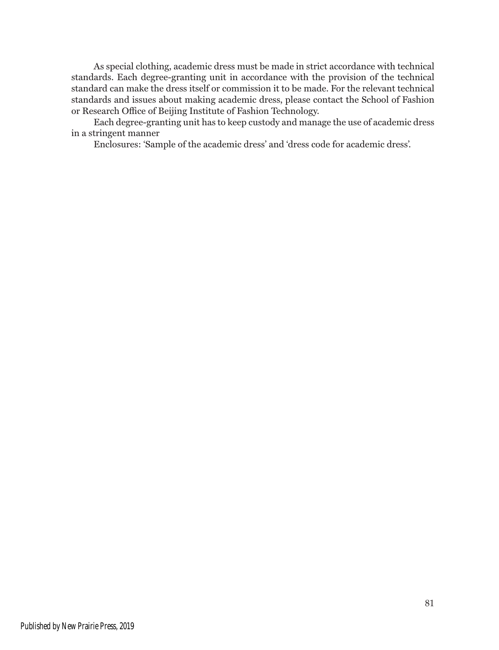As special clothing, academic dress must be made in strict accordance with technical standards. Each degree-granting unit in accordance with the provision of the technical standard can make the dress itself or commission it to be made. For the relevant technical standards and issues about making academic dress, please contact the School of Fashion or Research Office of Beijing Institute of Fashion Technology.

Each degree-granting unit has to keep custody and manage the use of academic dress in a stringent manner

Enclosures: 'Sample of the academic dress' and 'dress code for academic dress'.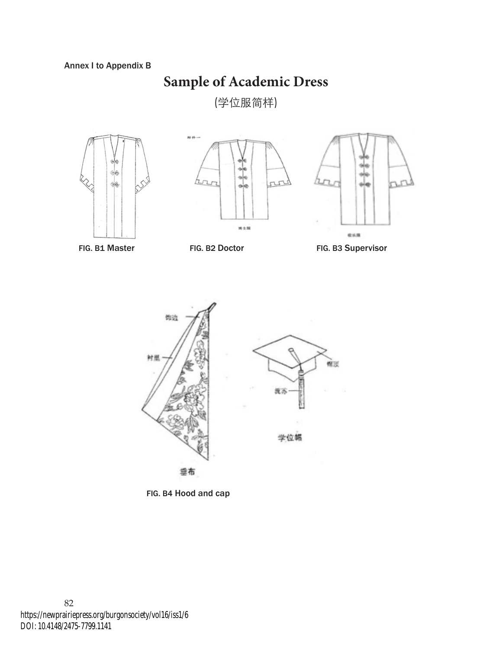# **Sample of Academic Dress**

(学位服简样)







FIG. B1 Master FIG. B2 Doctor FIG. B3 Supervisor



FIG. B4 Hood and cap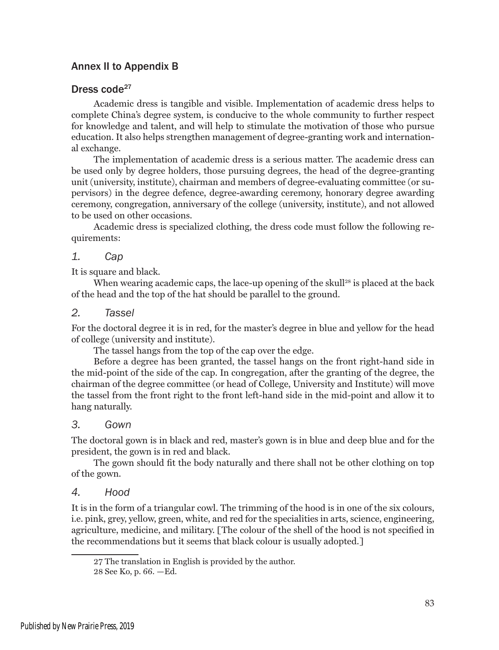## Annex II to Appendix B

## Dress code<sup>27</sup>

Academic dress is tangible and visible. Implementation of academic dress helps to complete China's degree system, is conducive to the whole community to further respect for knowledge and talent, and will help to stimulate the motivation of those who pursue education. It also helps strengthen management of degree-granting work and international exchange.

The implementation of academic dress is a serious matter. The academic dress can be used only by degree holders, those pursuing degrees, the head of the degree-granting unit (university, institute), chairman and members of degree-evaluating committee (or supervisors) in the degree defence, degree-awarding ceremony, honorary degree awarding ceremony, congregation, anniversary of the college (university, institute), and not allowed to be used on other occasions.

Academic dress is specialized clothing, the dress code must follow the following requirements:

### *1. Cap*

It is square and black.

When wearing academic caps, the lace-up opening of the skull<sup>28</sup> is placed at the back of the head and the top of the hat should be parallel to the ground.

### *2. Tassel*

For the doctoral degree it is in red, for the master's degree in blue and yellow for the head of college (university and institute).

The tassel hangs from the top of the cap over the edge.

Before a degree has been granted, the tassel hangs on the front right-hand side in the mid-point of the side of the cap. In congregation, after the granting of the degree, the chairman of the degree committee (or head of College, University and Institute) will move the tassel from the front right to the front left-hand side in the mid-point and allow it to hang naturally.

### *3. Gown*

The doctoral gown is in black and red, master's gown is in blue and deep blue and for the president, the gown is in red and black.

The gown should fit the body naturally and there shall not be other clothing on top of the gown.

### *4. Hood*

It is in the form of a triangular cowl. The trimming of the hood is in one of the six colours, i.e. pink, grey, yellow, green, white, and red for the specialities in arts, science, engineering, agriculture, medicine, and military. [The colour of the shell of the hood is not specified in the recommendations but it seems that black colour is usually adopted.]

<sup>27</sup> The translation in English is provided by the author.

<sup>28</sup> See Ko, p. 66. —Ed.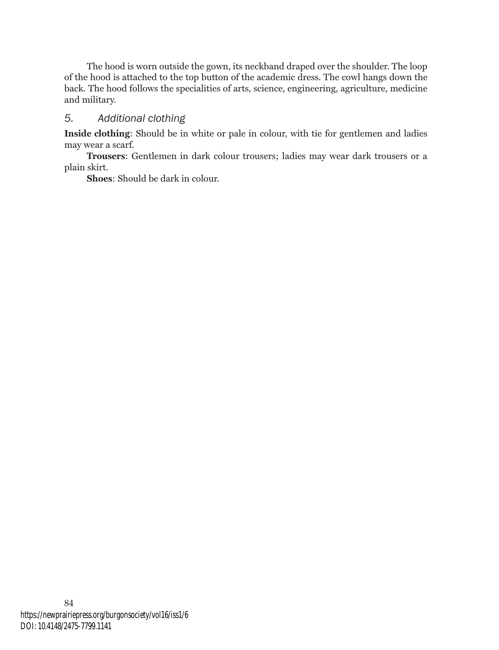The hood is worn outside the gown, its neckband draped over the shoulder. The loop of the hood is attached to the top button of the academic dress. The cowl hangs down the back. The hood follows the specialities of arts, science, engineering, agriculture, medicine and military.

## *5. Additional clothing*

**Inside clothing**: Should be in white or pale in colour, with tie for gentlemen and ladies may wear a scarf.

**Trousers**: Gentlemen in dark colour trousers; ladies may wear dark trousers or a plain skirt.

**Shoes**: Should be dark in colour.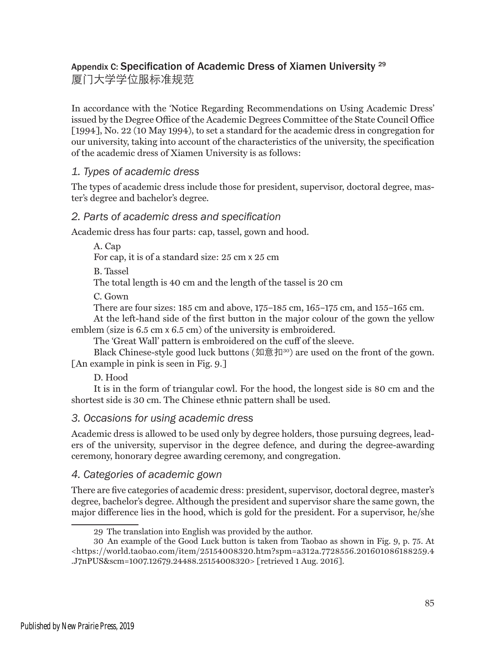## Appendix C: Specification of Academic Dress of Xiamen University <sup>29</sup>

厦门大学学位服标准规范

In accordance with the 'Notice Regarding Recommendations on Using Academic Dress' issued by the Degree Office of the Academic Degrees Committee of the State Council Office [1994], No. 22 (10 May 1994), to set a standard for the academic dress in congregation for our university, taking into account of the characteristics of the university, the specification of the academic dress of Xiamen University is as follows:

## *1. Types of academic dress*

The types of academic dress include those for president, supervisor, doctoral degree, master's degree and bachelor's degree.

## *2. Parts of academic dress and specification*

Academic dress has four parts: cap, tassel, gown and hood.

A. Cap

For cap, it is of a standard size: 25 cm x 25 cm

B. Tassel

The total length is 40 cm and the length of the tassel is 20 cm

C. Gown

There are four sizes: 185 cm and above, 175–185 cm, 165–175 cm, and 155–165 cm.

At the left-hand side of the first button in the major colour of the gown the yellow emblem (size is 6.5 cm x 6.5 cm) of the university is embroidered.

The 'Great Wall' pattern is embroidered on the cuff of the sleeve.

Black Chinese-style good luck buttons  $(\text{Im} \boxplus \text{H}^{30})$  are used on the front of the gown. [An example in pink is seen in Fig. 9.]

D. Hood

It is in the form of triangular cowl. For the hood, the longest side is 80 cm and the shortest side is 30 cm. The Chinese ethnic pattern shall be used.

## *3. Occasions for using academic dress*

Academic dress is allowed to be used only by degree holders, those pursuing degrees, leaders of the university, supervisor in the degree defence, and during the degree-awarding ceremony, honorary degree awarding ceremony, and congregation.

## *4. Categories of academic gown*

There are five categories of academic dress: president, supervisor, doctoral degree, master's degree, bachelor's degree. Although the president and supervisor share the same gown, the major difference lies in the hood, which is gold for the president. For a supervisor, he/she

<sup>29</sup> The translation into English was provided by the author.

<sup>30</sup> An example of the Good Luck button is taken from Taobao as shown in Fig. 9, p. 75. At <https://world.taobao.com/item/25154008320.htm?spm=a312a.7728556.201601086188259.4 .J7nPUS&scm=1007.12679.24488.25154008320> [retrieved 1 Aug. 2016].